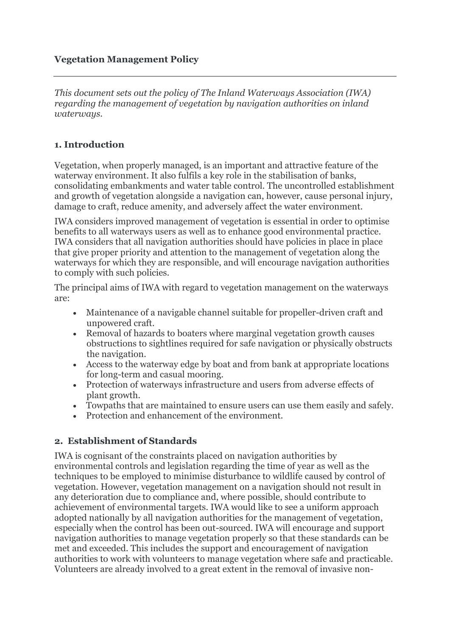### **Vegetation Management Policy**

*This document sets out the policy of The Inland Waterways Association (IWA) regarding the management of vegetation by navigation authorities on inland waterways.*

#### **1. Introduction**

Vegetation, when properly managed, is an important and attractive feature of the waterway environment. It also fulfils a key role in the stabilisation of banks, consolidating embankments and water table control. The uncontrolled establishment and growth of vegetation alongside a navigation can, however, cause personal injury, damage to craft, reduce amenity, and adversely affect the water environment.

IWA considers improved management of vegetation is essential in order to optimise benefits to all waterways users as well as to enhance good environmental practice. IWA considers that all navigation authorities should have policies in place in place that give proper priority and attention to the management of vegetation along the waterways for which they are responsible, and will encourage navigation authorities to comply with such policies.

The principal aims of IWA with regard to vegetation management on the waterways are:

- Maintenance of a navigable channel suitable for propeller-driven craft and unpowered craft.
- Removal of hazards to boaters where marginal vegetation growth causes obstructions to sightlines required for safe navigation or physically obstructs the navigation.
- Access to the waterway edge by boat and from bank at appropriate locations for long-term and casual mooring.
- Protection of waterways infrastructure and users from adverse effects of plant growth.
- Towpaths that are maintained to ensure users can use them easily and safely.
- Protection and enhancement of the environment.

#### **2. Establishment of Standards**

IWA is cognisant of the constraints placed on navigation authorities by environmental controls and legislation regarding the time of year as well as the techniques to be employed to minimise disturbance to wildlife caused by control of vegetation. However, vegetation management on a navigation should not result in any deterioration due to compliance and, where possible, should contribute to achievement of environmental targets. IWA would like to see a uniform approach adopted nationally by all navigation authorities for the management of vegetation, especially when the control has been out-sourced. IWA will encourage and support navigation authorities to manage vegetation properly so that these standards can be met and exceeded. This includes the support and encouragement of navigation authorities to work with volunteers to manage vegetation where safe and practicable. Volunteers are already involved to a great extent in the removal of invasive non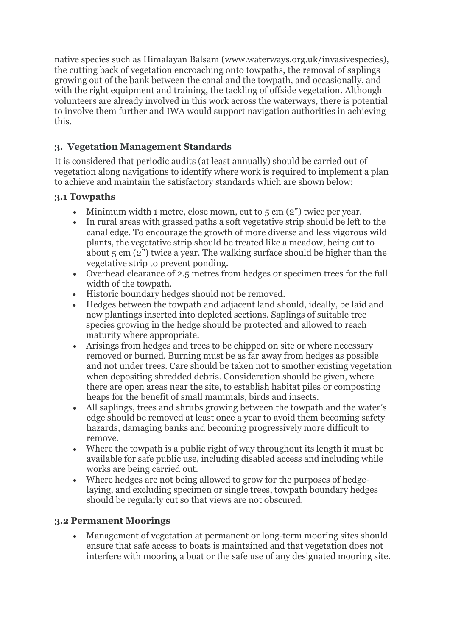native species such as Himalayan Balsam (www.waterways.org.uk/invasivespecies), the cutting back of vegetation encroaching onto towpaths, the removal of saplings growing out of the bank between the canal and the towpath, and occasionally, and with the right equipment and training, the tackling of offside vegetation. Although volunteers are already involved in this work across the waterways, there is potential to involve them further and IWA would support navigation authorities in achieving this.

# **3. Vegetation Management Standards**

It is considered that periodic audits (at least annually) should be carried out of vegetation along navigations to identify where work is required to implement a plan to achieve and maintain the satisfactory standards which are shown below:

## **3.1 Towpaths**

- $\bullet$  Minimum width 1 metre, close mown, cut to 5 cm  $(2)$  twice per year.
- In rural areas with grassed paths a soft vegetative strip should be left to the canal edge. To encourage the growth of more diverse and less vigorous wild plants, the vegetative strip should be treated like a meadow, being cut to about 5 cm (2") twice a year. The walking surface should be higher than the vegetative strip to prevent ponding.
- Overhead clearance of 2.5 metres from hedges or specimen trees for the full width of the towpath.
- Historic boundary hedges should not be removed.
- Hedges between the towpath and adjacent land should, ideally, be laid and new plantings inserted into depleted sections. Saplings of suitable tree species growing in the hedge should be protected and allowed to reach maturity where appropriate.
- Arisings from hedges and trees to be chipped on site or where necessary removed or burned. Burning must be as far away from hedges as possible and not under trees. Care should be taken not to smother existing vegetation when depositing shredded debris. Consideration should be given, where there are open areas near the site, to establish habitat piles or composting heaps for the benefit of small mammals, birds and insects.
- All saplings, trees and shrubs growing between the towpath and the water's edge should be removed at least once a year to avoid them becoming safety hazards, damaging banks and becoming progressively more difficult to remove.
- Where the towpath is a public right of way throughout its length it must be available for safe public use, including disabled access and including while works are being carried out.
- Where hedges are not being allowed to grow for the purposes of hedgelaying, and excluding specimen or single trees, towpath boundary hedges should be regularly cut so that views are not obscured.

## **3.2 Permanent Moorings**

 Management of vegetation at permanent or long-term mooring sites should ensure that safe access to boats is maintained and that vegetation does not interfere with mooring a boat or the safe use of any designated mooring site.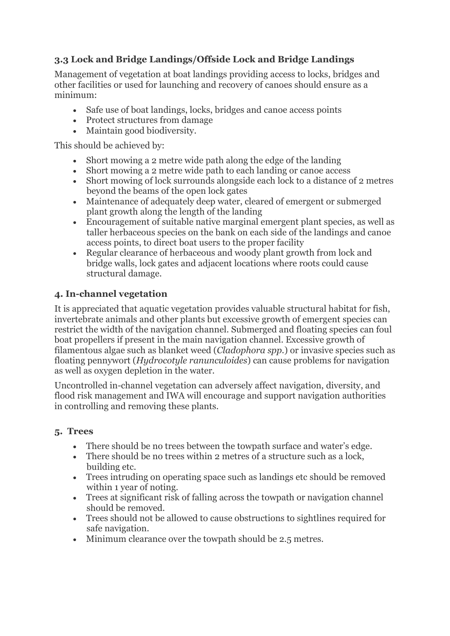# **3.3 Lock and Bridge Landings/Offside Lock and Bridge Landings**

Management of vegetation at boat landings providing access to locks, bridges and other facilities or used for launching and recovery of canoes should ensure as a minimum:

- Safe use of boat landings, locks, bridges and canoe access points
- Protect structures from damage
- Maintain good biodiversity.

This should be achieved by:

- Short mowing a 2 metre wide path along the edge of the landing
- Short mowing a 2 metre wide path to each landing or canoe access
- Short mowing of lock surrounds alongside each lock to a distance of 2 metres beyond the beams of the open lock gates
- Maintenance of adequately deep water, cleared of emergent or submerged plant growth along the length of the landing
- Encouragement of suitable native marginal emergent plant species, as well as taller herbaceous species on the bank on each side of the landings and canoe access points, to direct boat users to the proper facility
- Regular clearance of herbaceous and woody plant growth from lock and bridge walls, lock gates and adjacent locations where roots could cause structural damage.

## **4. In-channel vegetation**

It is appreciated that aquatic vegetation provides valuable structural habitat for fish, invertebrate animals and other plants but excessive growth of emergent species can restrict the width of the navigation channel. Submerged and floating species can foul boat propellers if present in the main navigation channel. Excessive growth of filamentous algae such as blanket weed (*Cladophora spp.*) or invasive species such as floating pennywort (*Hydrocotyle ranunculoides*) can cause problems for navigation as well as oxygen depletion in the water.

Uncontrolled in-channel vegetation can adversely affect navigation, diversity, and flood risk management and IWA will encourage and support navigation authorities in controlling and removing these plants.

#### **5. Trees**

- There should be no trees between the towpath surface and water's edge.
- There should be no trees within 2 metres of a structure such as a lock, building etc.
- Trees intruding on operating space such as landings etc should be removed within 1 year of noting.
- Trees at significant risk of falling across the towpath or navigation channel should be removed.
- Trees should not be allowed to cause obstructions to sightlines required for safe navigation.
- Minimum clearance over the towpath should be 2.5 metres.